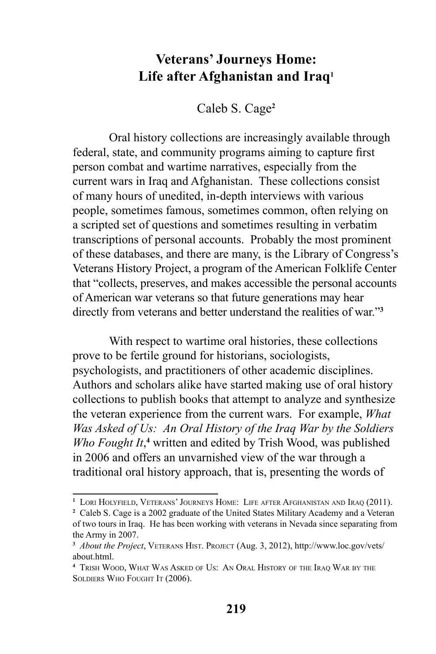## **Veterans' Journeys Home: Life after Afghanistan and Iraq1**

Caleb S. Cage**<sup>2</sup>**

Oral history collections are increasingly available through federal, state, and community programs aiming to capture first person combat and wartime narratives, especially from the current wars in Iraq and Afghanistan. These collections consist of many hours of unedited, in-depth interviews with various people, sometimes famous, sometimes common, often relying on a scripted set of questions and sometimes resulting in verbatim transcriptions of personal accounts. Probably the most prominent of these databases, and there are many, is the Library of Congress's Veterans History Project, a program of the American Folklife Center that "collects, preserves, and makes accessible the personal accounts of American war veterans so that future generations may hear directly from veterans and better understand the realities of war."**<sup>3</sup>**

With respect to wartime oral histories, these collections prove to be fertile ground for historians, sociologists, psychologists, and practitioners of other academic disciplines. Authors and scholars alike have started making use of oral history collections to publish books that attempt to analyze and synthesize the veteran experience from the current wars. For example, *What Was Asked of Us: An Oral History of the Iraq War by the Soldiers Who Fought It*,<sup>4</sup> written and edited by Trish Wood, was published in 2006 and offers an unvarnished view of the war through a traditional oral history approach, that is, presenting the words of

**<sup>1</sup>** Lori Holyfield, Veterans' Journeys Home: Life after Afghanistan and Iraq (2011).

**<sup>2</sup>** Caleb S. Cage is a 2002 graduate of the United States Military Academy and a Veteran of two tours in Iraq. He has been working with veterans in Nevada since separating from the Army in 2007.

**<sup>3</sup>** *About the Project*, Veterans Hist. Project (Aug. 3, 2012), http://www.loc.gov/vets/ about html

**<sup>4</sup>** Trish Wood, What Was Asked of Us: An Oral History of the Iraq War by the SOLDIERS WHO FOUGHT IT (2006).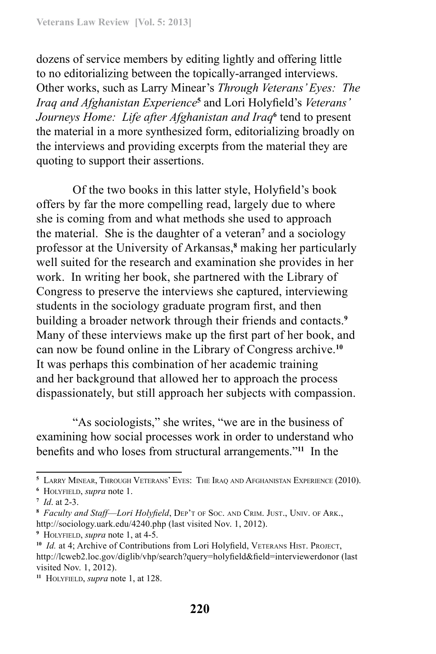dozens of service members by editing lightly and offering little to no editorializing between the topically-arranged interviews. Other works, such as Larry Minear's *Through Veterans' Eyes: The Iraq and Afghanistan Experience***<sup>5</sup>** and Lori Holyfield's *Veterans'*  Journeys Home: Life after Afghanistan and Iraq<sup>6</sup> tend to present the material in a more synthesized form, editorializing broadly on the interviews and providing excerpts from the material they are quoting to support their assertions.

Of the two books in this latter style, Holyfield's book offers by far the more compelling read, largely due to where she is coming from and what methods she used to approach the material. She is the daughter of a veteran<sup>7</sup> and a sociology professor at the University of Arkansas,**<sup>8</sup>** making her particularly well suited for the research and examination she provides in her work. In writing her book, she partnered with the Library of Congress to preserve the interviews she captured, interviewing students in the sociology graduate program first, and then building a broader network through their friends and contacts.**<sup>9</sup>** Many of these interviews make up the first part of her book, and can now be found online in the Library of Congress archive.**<sup>10</sup>** It was perhaps this combination of her academic training and her background that allowed her to approach the process dispassionately, but still approach her subjects with compassion.

"As sociologists," she writes, "we are in the business of examining how social processes work in order to understand who benefits and who loses from structural arrangements."**<sup>11</sup>** In the

**<sup>5</sup>** Larry Minear, Through Veterans' Eyes: The Iraq and Afghanistan Experience (2010).

**<sup>6</sup>** Holyfield, *supra* note 1.

**<sup>7</sup>** *Id*. at 2-3.

**<sup>8</sup>** *Faculty and Staff*—*Lori Holyfield*, Dep't of Soc. and Crim. Just., Univ. of Ark., http://sociology.uark.edu/4240.php (last visited Nov. 1, 2012).

**<sup>9</sup>** Holyfield, *supra* note 1, at 4-5.

<sup>&</sup>lt;sup>10</sup> *Id.* at 4; Archive of Contributions from Lori Holyfield, VETERANS HIST. PROJECT, http://lcweb2.loc.gov/diglib/vhp/search?query=holyfield&field=interviewerdonor (last visited Nov. 1, 2012).

**<sup>11</sup>** Holyfield, *supra* note 1, at 128.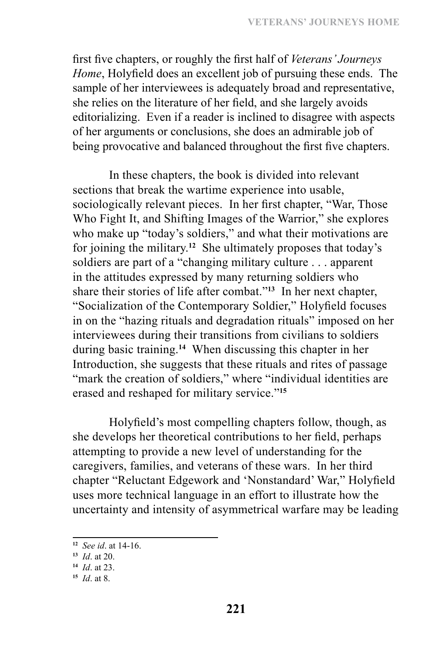first five chapters, or roughly the first half of *Veterans' Journeys Home*, Holyfield does an excellent job of pursuing these ends. The sample of her interviewees is adequately broad and representative, she relies on the literature of her field, and she largely avoids editorializing. Even if a reader is inclined to disagree with aspects of her arguments or conclusions, she does an admirable job of being provocative and balanced throughout the first five chapters.

In these chapters, the book is divided into relevant sections that break the wartime experience into usable, sociologically relevant pieces. In her first chapter, "War, Those Who Fight It, and Shifting Images of the Warrior," she explores who make up "today's soldiers," and what their motivations are for joining the military.**<sup>12</sup>** She ultimately proposes that today's soldiers are part of a "changing military culture . . . apparent in the attitudes expressed by many returning soldiers who share their stories of life after combat."**<sup>13</sup>** In her next chapter, "Socialization of the Contemporary Soldier," Holyfield focuses in on the "hazing rituals and degradation rituals" imposed on her interviewees during their transitions from civilians to soldiers during basic training.**<sup>14</sup>** When discussing this chapter in her Introduction, she suggests that these rituals and rites of passage "mark the creation of soldiers," where "individual identities are erased and reshaped for military service."**<sup>15</sup>**

Holyfield's most compelling chapters follow, though, as she develops her theoretical contributions to her field, perhaps attempting to provide a new level of understanding for the caregivers, families, and veterans of these wars. In her third chapter "Reluctant Edgework and 'Nonstandard' War," Holyfield uses more technical language in an effort to illustrate how the uncertainty and intensity of asymmetrical warfare may be leading

**<sup>12</sup>** *See id*. at 14-16.

**<sup>13</sup>** *Id*. at 20.

**<sup>14</sup>** *Id*. at 23.

**<sup>15</sup>** *Id*. at 8.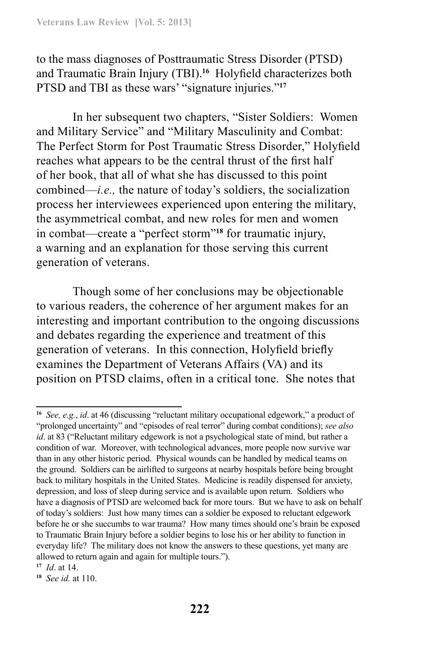to the mass diagnoses of Posttraumatic Stress Disorder (PTSD) and Traumatic Brain Injury (TBI).**<sup>16</sup>** Holyfield characterizes both PTSD and TBI as these wars' "signature injuries."**<sup>17</sup>**

In her subsequent two chapters, "Sister Soldiers: Women and Military Service" and "Military Masculinity and Combat: The Perfect Storm for Post Traumatic Stress Disorder," Holyfield reaches what appears to be the central thrust of the first half of her book, that all of what she has discussed to this point combined—*i.e.,* the nature of today's soldiers, the socialization process her interviewees experienced upon entering the military, the asymmetrical combat, and new roles for men and women in combat—create a "perfect storm"**<sup>18</sup>** for traumatic injury, a warning and an explanation for those serving this current generation of veterans.

Though some of her conclusions may be objectionable to various readers, the coherence of her argument makes for an interesting and important contribution to the ongoing discussions and debates regarding the experience and treatment of this generation of veterans. In this connection, Holyfield briefly examines the Department of Veterans Affairs (VA) and its position on PTSD claims, often in a critical tone. She notes that

**<sup>16</sup>** *See, e.g.*, *id*. at 46 (discussing "reluctant military occupational edgework," a product of "prolonged uncertainty" and "episodes of real terror" during combat conditions); *see also id*. at 83 ("Reluctant military edgework is not a psychological state of mind, but rather a condition of war. Moreover, with technological advances, more people now survive war than in any other historic period. Physical wounds can be handled by medical teams on the ground. Soldiers can be airlifted to surgeons at nearby hospitals before being brought back to military hospitals in the United States. Medicine is readily dispensed for anxiety, depression, and loss of sleep during service and is available upon return. Soldiers who have a diagnosis of PTSD are welcomed back for more tours. But we have to ask on behalf of today's soldiers: Just how many times can a soldier be exposed to reluctant edgework before he or she succumbs to war trauma? How many times should one's brain be exposed to Traumatic Brain Injury before a soldier begins to lose his or her ability to function in everyday life? The military does not know the answers to these questions, yet many are allowed to return again and again for multiple tours.").

**<sup>17</sup>** *Id*. at 14.

**<sup>18</sup>** *See id.* at 110.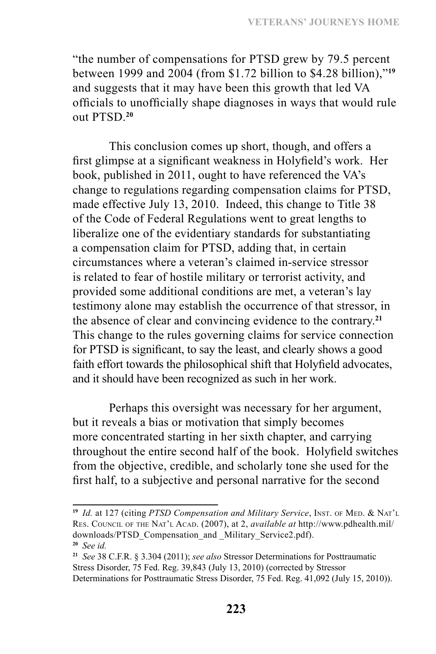"the number of compensations for PTSD grew by 79.5 percent between 1999 and 2004 (from \$1.72 billion to \$4.28 billion),"**<sup>19</sup>** and suggests that it may have been this growth that led VA officials to unofficially shape diagnoses in ways that would rule out PTSD.**<sup>20</sup>**

This conclusion comes up short, though, and offers a first glimpse at a significant weakness in Holyfield's work. Her book, published in 2011, ought to have referenced the VA's change to regulations regarding compensation claims for PTSD, made effective July 13, 2010. Indeed, this change to Title 38 of the Code of Federal Regulations went to great lengths to liberalize one of the evidentiary standards for substantiating a compensation claim for PTSD, adding that, in certain circumstances where a veteran's claimed in-service stressor is related to fear of hostile military or terrorist activity, and provided some additional conditions are met, a veteran's lay testimony alone may establish the occurrence of that stressor, in the absence of clear and convincing evidence to the contrary.**<sup>21</sup>** This change to the rules governing claims for service connection for PTSD is significant, to say the least, and clearly shows a good faith effort towards the philosophical shift that Holyfield advocates, and it should have been recognized as such in her work.

Perhaps this oversight was necessary for her argument, but it reveals a bias or motivation that simply becomes more concentrated starting in her sixth chapter, and carrying throughout the entire second half of the book. Holyfield switches from the objective, credible, and scholarly tone she used for the first half, to a subjective and personal narrative for the second

<sup>&</sup>lt;sup>19</sup> *Id.* at 127 (citing PTSD Compensation and Military Service, INST. OF MED. & NAT'L Res. Council of the Nat'l Acad. (2007), at 2, *available at* http://www.pdhealth.mil/ downloads/PTSD\_Compensation\_and \_Military\_Service2.pdf). **<sup>20</sup>** *See id.* 

**<sup>21</sup>** *See* 38 C.F.R. § 3.304 (2011); *see also* Stressor Determinations for Posttraumatic Stress Disorder, 75 Fed. Reg. 39,843 (July 13, 2010) (corrected by Stressor Determinations for Posttraumatic Stress Disorder, 75 Fed. Reg. 41,092 (July 15, 2010)).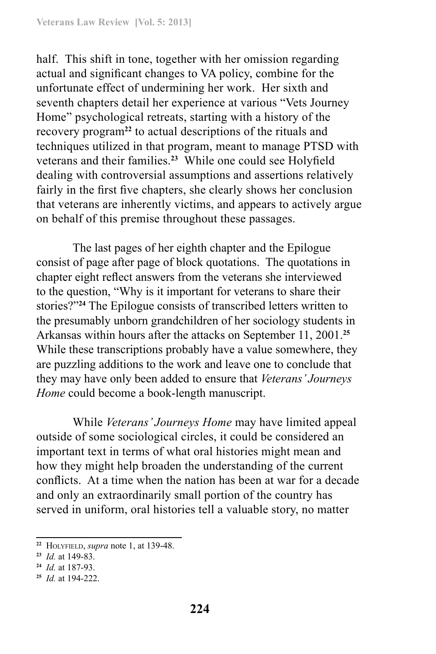half. This shift in tone, together with her omission regarding actual and significant changes to VA policy, combine for the unfortunate effect of undermining her work. Her sixth and seventh chapters detail her experience at various "Vets Journey Home" psychological retreats, starting with a history of the recovery program**<sup>22</sup>** to actual descriptions of the rituals and techniques utilized in that program, meant to manage PTSD with veterans and their families.**<sup>23</sup>** While one could see Holyfield dealing with controversial assumptions and assertions relatively fairly in the first five chapters, she clearly shows her conclusion that veterans are inherently victims, and appears to actively argue on behalf of this premise throughout these passages.

The last pages of her eighth chapter and the Epilogue consist of page after page of block quotations. The quotations in chapter eight reflect answers from the veterans she interviewed to the question, "Why is it important for veterans to share their stories?"**<sup>24</sup>** The Epilogue consists of transcribed letters written to the presumably unborn grandchildren of her sociology students in Arkansas within hours after the attacks on September 11, 2001.**<sup>25</sup>** While these transcriptions probably have a value somewhere, they are puzzling additions to the work and leave one to conclude that they may have only been added to ensure that *Veterans' Journeys Home* could become a book-length manuscript.

While *Veterans' Journeys Home* may have limited appeal outside of some sociological circles, it could be considered an important text in terms of what oral histories might mean and how they might help broaden the understanding of the current conflicts. At a time when the nation has been at war for a decade and only an extraordinarily small portion of the country has served in uniform, oral histories tell a valuable story, no matter

**<sup>22</sup>** Holyfield, *supra* note 1, at 139-48.

**<sup>23</sup>** *Id.* at 149-83.

**<sup>24</sup>** *Id.* at 187-93.

**<sup>25</sup>** *Id.* at 194-222.